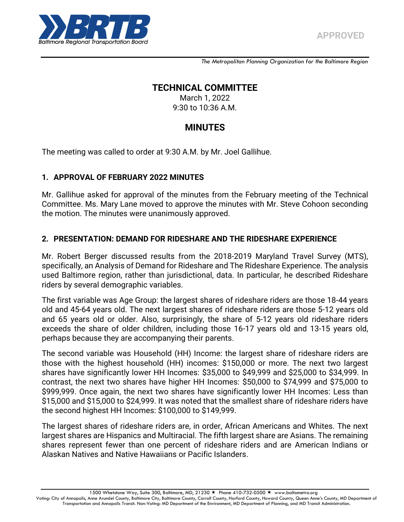*The Metropolitan Planning Organization for the Baltimore Region*

## **TECHNICAL COMMITTEE**

March 1, 2022 9:30 to 10:36 A.M.

# **MINUTES**

The meeting was called to order at 9:30 A.M. by Mr. Joel Gallihue.

### **1. APPROVAL OF FEBRUARY 2022 MINUTES**

Mr. Gallihue asked for approval of the minutes from the February meeting of the Technical Committee. Ms. Mary Lane moved to approve the minutes with Mr. Steve Cohoon seconding the motion. The minutes were unanimously approved.

## **2. PRESENTATION: DEMAND FOR RIDESHARE AND THE RIDESHARE EXPERIENCE**

Mr. Robert Berger discussed results from the 2018-2019 Maryland Travel Survey (MTS), specifically, an Analysis of Demand for Rideshare and The Rideshare Experience. The analysis used Baltimore region, rather than jurisdictional, data. In particular, he described Rideshare riders by several demographic variables.

The first variable was Age Group: the largest shares of rideshare riders are those 18-44 years old and 45-64 years old. The next largest shares of rideshare riders are those 5-12 years old and 65 years old or older. Also, surprisingly, the share of 5-12 years old rideshare riders exceeds the share of older children, including those 16-17 years old and 13-15 years old, perhaps because they are accompanying their parents.

The second variable was Household (HH) Income: the largest share of rideshare riders are those with the highest household (HH) incomes: \$150,000 or more. The next two largest shares have significantly lower HH Incomes: \$35,000 to \$49,999 and \$25,000 to \$34,999. In contrast, the next two shares have higher HH Incomes: \$50,000 to \$74,999 and \$75,000 to \$999,999. Once again, the next two shares have significantly lower HH Incomes: Less than \$15,000 and \$15,000 to \$24,999. It was noted that the smallest share of rideshare riders have the second highest HH Incomes: \$100,000 to \$149,999.

The largest shares of rideshare riders are, in order, African Americans and Whites. The next largest shares are Hispanics and Multiracial. The fifth largest share are Asians. The remaining shares represent fewer than one percent of rideshare riders and are American Indians or Alaskan Natives and Native Hawaiians or Pacific Islanders.

1500 Whetstone Way, Suite 300, Baltimore, MD, 21230 ★ Phone 410-732-0500 ★ www.baltometro.org

Voting: City of Annapolis, Anne Arundel County, Baltimore City, Baltimore County, Carroll County, Harford County, Howard County, Queen Anne's County, MD Department of Transportation and Annapolis Transit. Non-Voting: MD Department of the Environment, MD Department of Planning, and MD Transit Administration.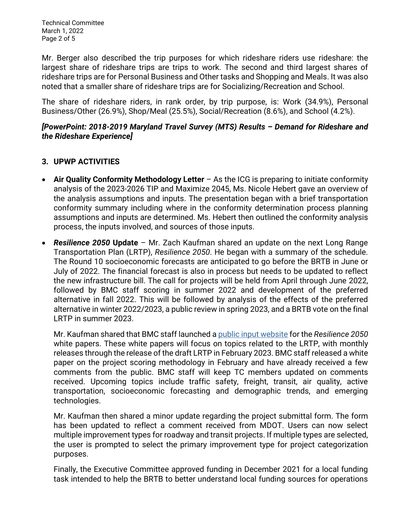Technical Committee March 1, 2022 Page 2 of 5

Mr. Berger also described the trip purposes for which rideshare riders use rideshare: the largest share of rideshare trips are trips to work. The second and third largest shares of rideshare trips are for Personal Business and Other tasks and Shopping and Meals. It was also noted that a smaller share of rideshare trips are for Socializing/Recreation and School.

The share of rideshare riders, in rank order, by trip purpose, is: Work (34.9%), Personal Business/Other (26.9%), Shop/Meal (25.5%), Social/Recreation (8.6%), and School (4.2%).

### *[PowerPoint: 2018-2019 Maryland Travel Survey (MTS) Results – Demand for Rideshare and the Rideshare Experience]*

### **3. UPWP ACTIVITIES**

- **Air Quality Conformity Methodology Letter** As the ICG is preparing to initiate conformity analysis of the 2023-2026 TIP and Maximize 2045, Ms. Nicole Hebert gave an overview of the analysis assumptions and inputs. The presentation began with a brief transportation conformity summary including where in the conformity determination process planning assumptions and inputs are determined. Ms. Hebert then outlined the conformity analysis process, the inputs involved, and sources of those inputs.
- *Resilience 2050* **Update** Mr. Zach Kaufman shared an update on the next Long Range Transportation Plan (LRTP), *Resilience 2050*. He began with a summary of the schedule. The Round 10 socioeconomic forecasts are anticipated to go before the BRTB in June or July of 2022. The financial forecast is also in process but needs to be updated to reflect the new infrastructure bill. The call for projects will be held from April through June 2022, followed by BMC staff scoring in summer 2022 and development of the preferred alternative in fall 2022. This will be followed by analysis of the effects of the preferred alternative in winter 2022/2023, a public review in spring 2023, and a BRTB vote on the final LRTP in summer 2023.

Mr. Kaufman shared that BMC staff launched a [public input website](https://publicinput.com/resilience2050whitepapers) for the *Resilience 2050*  white papers. These white papers will focus on topics related to the LRTP, with monthly releases through the release of the draft LRTP in February 2023. BMC staff released a white paper on the project scoring methodology in February and have already received a few comments from the public. BMC staff will keep TC members updated on comments received. Upcoming topics include traffic safety, freight, transit, air quality, active transportation, socioeconomic forecasting and demographic trends, and emerging technologies.

Mr. Kaufman then shared a minor update regarding the project submittal form. The form has been updated to reflect a comment received from MDOT. Users can now select multiple improvement types for roadway and transit projects. If multiple types are selected, the user is prompted to select the primary improvement type for project categorization purposes.

Finally, the Executive Committee approved funding in December 2021 for a local funding task intended to help the BRTB to better understand local funding sources for operations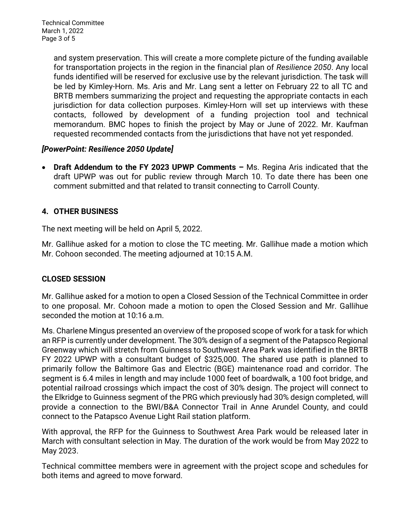and system preservation. This will create a more complete picture of the funding available for transportation projects in the region in the financial plan of *Resilience 2050*. Any local funds identified will be reserved for exclusive use by the relevant jurisdiction. The task will be led by Kimley-Horn. Ms. Aris and Mr. Lang sent a letter on February 22 to all TC and BRTB members summarizing the project and requesting the appropriate contacts in each jurisdiction for data collection purposes. Kimley-Horn will set up interviews with these contacts, followed by development of a funding projection tool and technical memorandum. BMC hopes to finish the project by May or June of 2022. Mr. Kaufman requested recommended contacts from the jurisdictions that have not yet responded.

## *[PowerPoint: Resilience 2050 Update]*

 **Draft Addendum to the FY 2023 UPWP Comments –** Ms. Regina Aris indicated that the draft UPWP was out for public review through March 10. To date there has been one comment submitted and that related to transit connecting to Carroll County.

## **4. OTHER BUSINESS**

The next meeting will be held on April 5, 2022.

Mr. Gallihue asked for a motion to close the TC meeting. Mr. Gallihue made a motion which Mr. Cohoon seconded. The meeting adjourned at 10:15 A.M.

## **CLOSED SESSION**

Mr. Gallihue asked for a motion to open a Closed Session of the Technical Committee in order to one proposal. Mr. Cohoon made a motion to open the Closed Session and Mr. Gallihue seconded the motion at 10:16 a.m.

Ms. Charlene Mingus presented an overview of the proposed scope of work for a task for which an RFP is currently under development. The 30% design of a segment of the Patapsco Regional Greenway which will stretch from Guinness to Southwest Area Park was identified in the BRTB FY 2022 UPWP with a consultant budget of \$325,000. The shared use path is planned to primarily follow the Baltimore Gas and Electric (BGE) maintenance road and corridor. The segment is 6.4 miles in length and may include 1000 feet of boardwalk, a 100 foot bridge, and potential railroad crossings which impact the cost of 30% design. The project will connect to the Elkridge to Guinness segment of the PRG which previously had 30% design completed, will provide a connection to the BWI/B&A Connector Trail in Anne Arundel County, and could connect to the Patapsco Avenue Light Rail station platform.

With approval, the RFP for the Guinness to Southwest Area Park would be released later in March with consultant selection in May. The duration of the work would be from May 2022 to May 2023.

Technical committee members were in agreement with the project scope and schedules for both items and agreed to move forward.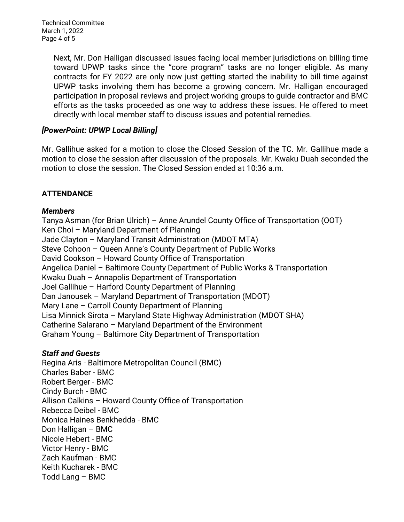Technical Committee March 1, 2022 Page 4 of 5

> Next, Mr. Don Halligan discussed issues facing local member jurisdictions on billing time toward UPWP tasks since the "core program" tasks are no longer eligible. As many contracts for FY 2022 are only now just getting started the inability to bill time against UPWP tasks involving them has become a growing concern. Mr. Halligan encouraged participation in proposal reviews and project working groups to guide contractor and BMC efforts as the tasks proceeded as one way to address these issues. He offered to meet directly with local member staff to discuss issues and potential remedies.

#### *[PowerPoint: UPWP Local Billing]*

Mr. Gallihue asked for a motion to close the Closed Session of the TC. Mr. Gallihue made a motion to close the session after discussion of the proposals. Mr. Kwaku Duah seconded the motion to close the session. The Closed Session ended at 10:36 a.m.

## **ATTENDANCE**

### *Members*

Tanya Asman (for Brian Ulrich) – Anne Arundel County Office of Transportation (OOT) Ken Choi – Maryland Department of Planning Jade Clayton – Maryland Transit Administration (MDOT MTA) Steve Cohoon – Queen Anne's County Department of Public Works David Cookson – Howard County Office of Transportation Angelica Daniel – Baltimore County Department of Public Works & Transportation Kwaku Duah – Annapolis Department of Transportation Joel Gallihue – Harford County Department of Planning Dan Janousek – Maryland Department of Transportation (MDOT) Mary Lane – Carroll County Department of Planning Lisa Minnick Sirota – Maryland State Highway Administration (MDOT SHA) Catherine Salarano – Maryland Department of the Environment Graham Young – Baltimore City Department of Transportation

#### *Staff and Guests*

Regina Aris - Baltimore Metropolitan Council (BMC) Charles Baber - BMC Robert Berger - BMC Cindy Burch - BMC Allison Calkins – Howard County Office of Transportation Rebecca Deibel - BMC Monica Haines Benkhedda - BMC Don Halligan – BMC Nicole Hebert - BMC Victor Henry - BMC Zach Kaufman - BMC Keith Kucharek - BMC Todd Lang – BMC